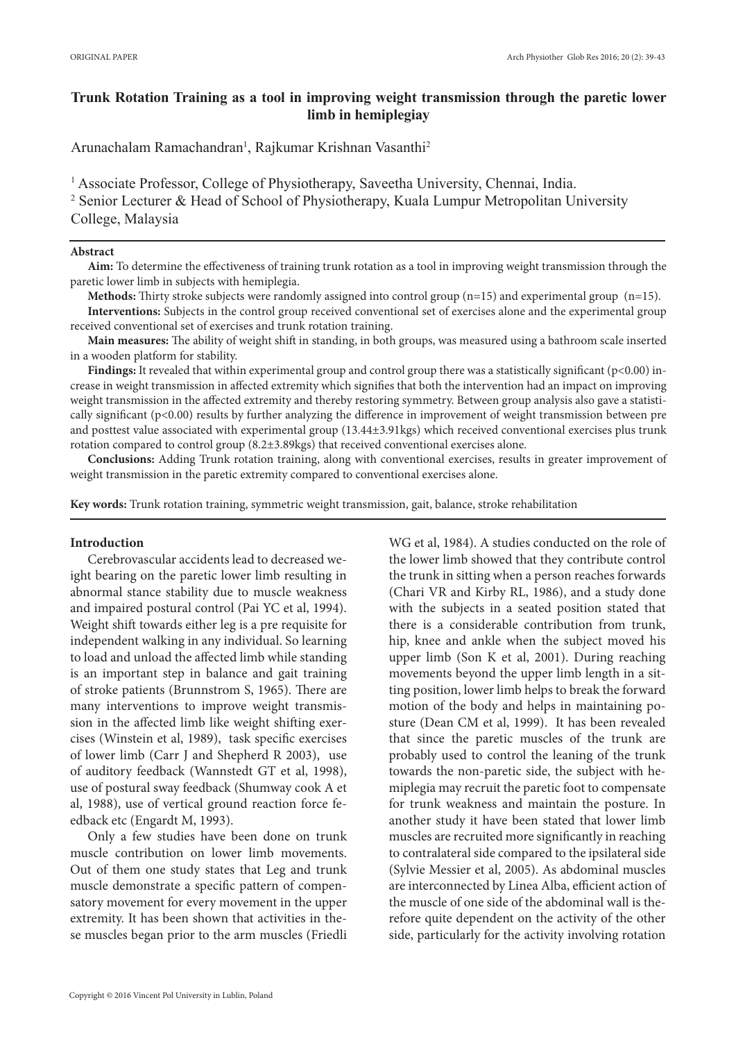# **Trunk Rotation Training as a tool in improving weight transmission through the paretic lower limb in hemiplegiay**

Arunachalam Ramachandran<sup>1</sup>, Rajkumar Krishnan Vasanthi<sup>2</sup>

<sup>1</sup> Associate Professor, College of Physiotherapy, Saveetha University, Chennai, India. 2 Senior Lecturer & Head of School of Physiotherapy, Kuala Lumpur Metropolitan University College, Malaysia

# **Abstract**

**Aim:** To determine the effectiveness of training trunk rotation as a tool in improving weight transmission through the paretic lower limb in subjects with hemiplegia.

**Methods:** Thirty stroke subjects were randomly assigned into control group (n=15) and experimental group (n=15).

**Interventions:** Subjects in the control group received conventional set of exercises alone and the experimental group received conventional set of exercises and trunk rotation training.

**Main measures:** The ability of weight shift in standing, in both groups, was measured using a bathroom scale inserted in a wooden platform for stability.

**Findings:** It revealed that within experimental group and control group there was a statistically significant (p<0.00) increase in weight transmission in affected extremity which signifies that both the intervention had an impact on improving weight transmission in the affected extremity and thereby restoring symmetry. Between group analysis also gave a statistically significant (p<0.00) results by further analyzing the difference in improvement of weight transmission between pre and posttest value associated with experimental group (13.44±3.91kgs) which received conventional exercises plus trunk rotation compared to control group (8.2±3.89kgs) that received conventional exercises alone.

**Conclusions:** Adding Trunk rotation training, along with conventional exercises, results in greater improvement of weight transmission in the paretic extremity compared to conventional exercises alone.

**Key words:** Trunk rotation training, symmetric weight transmission, gait, balance, stroke rehabilitation

# **Introduction**

Cerebrovascular accidents lead to decreased weight bearing on the paretic lower limb resulting in abnormal stance stability due to muscle weakness and impaired postural control (Pai YC et al, 1994). Weight shift towards either leg is a pre requisite for independent walking in any individual. So learning to load and unload the affected limb while standing is an important step in balance and gait training of stroke patients (Brunnstrom S, 1965). There are many interventions to improve weight transmission in the affected limb like weight shifting exercises (Winstein et al, 1989), task specific exercises of lower limb (Carr J and Shepherd R 2003), use of auditory feedback (Wannstedt GT et al, 1998), use of postural sway feedback (Shumway cook A et al, 1988), use of vertical ground reaction force feedback etc (Engardt M, 1993).

Only a few studies have been done on trunk muscle contribution on lower limb movements. Out of them one study states that Leg and trunk muscle demonstrate a specific pattern of compensatory movement for every movement in the upper extremity. It has been shown that activities in these muscles began prior to the arm muscles (Friedli WG et al, 1984). A studies conducted on the role of the lower limb showed that they contribute control the trunk in sitting when a person reaches forwards (Chari VR and Kirby RL, 1986), and a study done with the subjects in a seated position stated that there is a considerable contribution from trunk, hip, knee and ankle when the subject moved his upper limb (Son K et al, 2001). During reaching movements beyond the upper limb length in a sitting position, lower limb helps to break the forward motion of the body and helps in maintaining posture (Dean CM et al, 1999). It has been revealed that since the paretic muscles of the trunk are probably used to control the leaning of the trunk towards the non-paretic side, the subject with hemiplegia may recruit the paretic foot to compensate for trunk weakness and maintain the posture. In another study it have been stated that lower limb muscles are recruited more significantly in reaching to contralateral side compared to the ipsilateral side (Sylvie Messier et al, 2005). As abdominal muscles are interconnected by Linea Alba, efficient action of the muscle of one side of the abdominal wall is therefore quite dependent on the activity of the other side, particularly for the activity involving rotation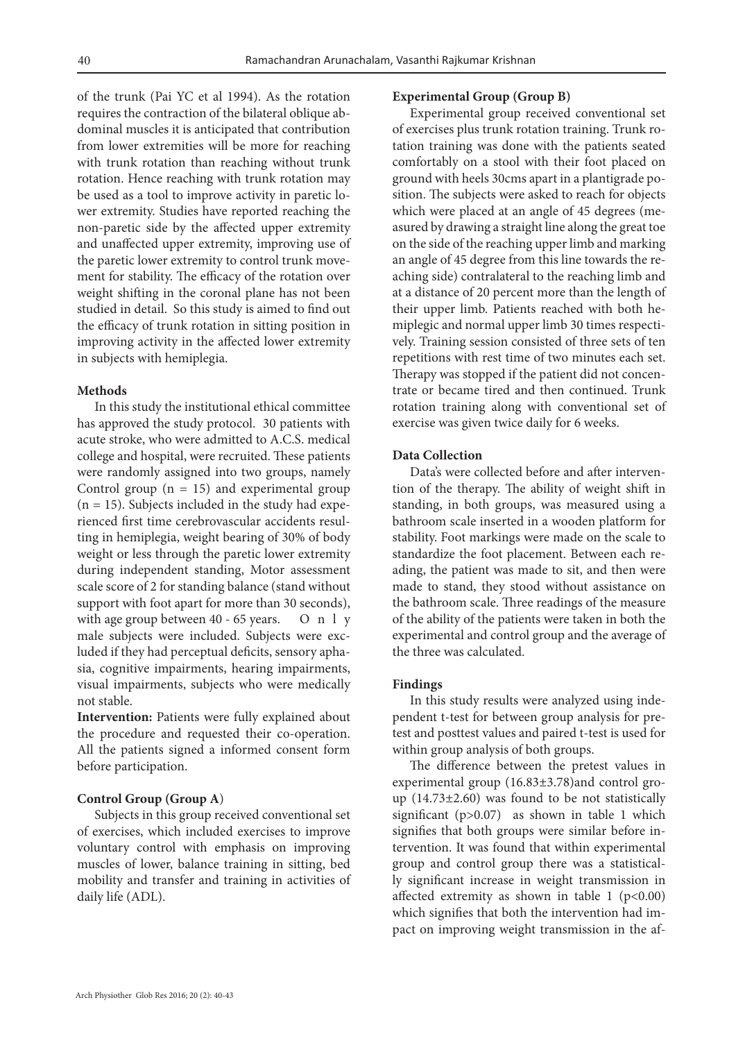of the trunk (Pai YC et al 1994). As the rotation requires the contraction of the bilateral oblique abdominal muscles it is anticipated that contribution from lower extremities will be more for reaching with trunk rotation than reaching without trunk rotation. Hence reaching with trunk rotation may be used as a tool to improve activity in paretic lower extremity. Studies have reported reaching the non-paretic side by the affected upper extremity and unaffected upper extremity, improving use of the paretic lower extremity to control trunk movement for stability. The efficacy of the rotation over weight shifting in the coronal plane has not been studied in detail. So this study is aimed to find out the efficacy of trunk rotation in sitting position in improving activity in the affected lower extremity in subjects with hemiplegia.

### **Methods**

In this study the institutional ethical committee has approved the study protocol. 30 patients with acute stroke, who were admitted to A.C.S. medical college and hospital, were recruited. These patients were randomly assigned into two groups, namely Control group  $(n = 15)$  and experimental group  $(n = 15)$ . Subjects included in the study had experienced first time cerebrovascular accidents resulting in hemiplegia, weight bearing of 30% of body weight or less through the paretic lower extremity during independent standing, Motor assessment scale score of 2 for standing balance (stand without support with foot apart for more than 30 seconds), with age group between 40 - 65 years. On 1 y male subjects were included. Subjects were excluded if they had perceptual deficits, sensory aphasia, cognitive impairments, hearing impairments, visual impairments, subjects who were medically not stable.

**Intervention:** Patients were fully explained about the procedure and requested their co-operation. All the patients signed a informed consent form before participation.

### **Control Group (Group A**)

Subjects in this group received conventional set of exercises, which included exercises to improve voluntary control with emphasis on improving muscles of lower, balance training in sitting, bed mobility and transfer and training in activities of daily life (ADL).

### **Experimental Group (Group B)**

Experimental group received conventional set of exercises plus trunk rotation training. Trunk rotation training was done with the patients seated comfortably on a stool with their foot placed on ground with heels 30cms apart in a plantigrade position. The subjects were asked to reach for objects which were placed at an angle of 45 degrees (measured by drawing a straight line along the great toe on the side of the reaching upper limb and marking an angle of 45 degree from this line towards the reaching side) contralateral to the reaching limb and at a distance of 20 percent more than the length of their upper limb. Patients reached with both hemiplegic and normal upper limb 30 times respectively. Training session consisted of three sets of ten repetitions with rest time of two minutes each set. Therapy was stopped if the patient did not concentrate or became tired and then continued. Trunk rotation training along with conventional set of exercise was given twice daily for 6 weeks.

# **Data Collection**

Data's were collected before and after intervention of the therapy. The ability of weight shift in standing, in both groups, was measured using a bathroom scale inserted in a wooden platform for stability. Foot markings were made on the scale to standardize the foot placement. Between each reading, the patient was made to sit, and then were made to stand, they stood without assistance on the bathroom scale. Three readings of the measure of the ability of the patients were taken in both the experimental and control group and the average of the three was calculated.

### **Findings**

In this study results were analyzed using independent t-test for between group analysis for pretest and posttest values and paired t-test is used for within group analysis of both groups.

The difference between the pretest values in experimental group (16.83±3.78)and control group  $(14.73\pm2.60)$  was found to be not statistically significant (p>0.07) as shown in table 1 which signifies that both groups were similar before intervention. It was found that within experimental group and control group there was a statistically significant increase in weight transmission in affected extremity as shown in table 1 ( $p<0.00$ ) which signifies that both the intervention had impact on improving weight transmission in the af-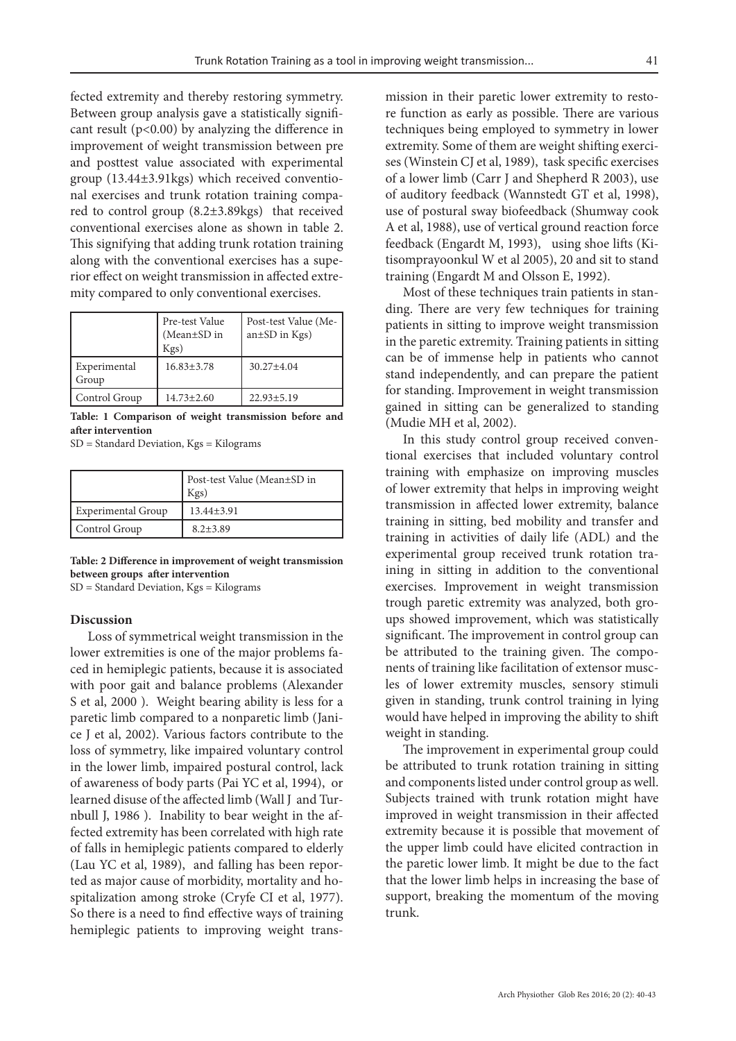fected extremity and thereby restoring symmetry. Between group analysis gave a statistically significant result ( $p<0.00$ ) by analyzing the difference in improvement of weight transmission between pre and posttest value associated with experimental group (13.44±3.91kgs) which received conventional exercises and trunk rotation training compared to control group (8.2±3.89kgs) that received conventional exercises alone as shown in table 2. This signifying that adding trunk rotation training along with the conventional exercises has a superior effect on weight transmission in affected extremity compared to only conventional exercises.

|                       | Pre-test Value<br>(Mean $\pm$ SD in<br>Kgs) | Post-test Value (Me-<br>$an \pm SD$ in Kgs) |
|-----------------------|---------------------------------------------|---------------------------------------------|
| Experimental<br>Group | $16.83 \pm 3.78$                            | $30.27 \pm 4.04$                            |
| Control Group         | $14.73 \pm 2.60$                            | $22.93 \pm 5.19$                            |

**Table: 1 Comparison of weight transmission before and after intervention**

SD = Standard Deviation, Kgs = Kilograms

|                    | Post-test Value (Mean±SD in<br>$Kgs$ ) |
|--------------------|----------------------------------------|
| Experimental Group | $13.44 \pm 3.91$                       |
| Control Group      | $8.2 + 3.89$                           |

**Table: 2 Difference in improvement of weight transmission between groups after intervention** 

SD = Standard Deviation, Kgs = Kilograms

#### **Discussion**

Loss of symmetrical weight transmission in the lower extremities is one of the major problems faced in hemiplegic patients, because it is associated with poor gait and balance problems (Alexander S et al, 2000 ). Weight bearing ability is less for a paretic limb compared to a nonparetic limb (Janice J et al, 2002). Various factors contribute to the loss of symmetry, like impaired voluntary control in the lower limb, impaired postural control, lack of awareness of body parts (Pai YC et al, 1994), or learned disuse of the affected limb (Wall J and Turnbull J, 1986 ). Inability to bear weight in the affected extremity has been correlated with high rate of falls in hemiplegic patients compared to elderly (Lau YC et al, 1989), and falling has been reported as major cause of morbidity, mortality and hospitalization among stroke (Cryfe CI et al, 1977). So there is a need to find effective ways of training hemiplegic patients to improving weight transmission in their paretic lower extremity to restore function as early as possible. There are various techniques being employed to symmetry in lower extremity. Some of them are weight shifting exercises (Winstein CJ et al, 1989), task specific exercises of a lower limb (Carr J and Shepherd R 2003), use of auditory feedback (Wannstedt GT et al, 1998), use of postural sway biofeedback (Shumway cook A et al, 1988), use of vertical ground reaction force feedback (Engardt M, 1993), using shoe lifts (Kitisomprayoonkul W et al 2005), 20 and sit to stand training (Engardt M and Olsson E, 1992).

Most of these techniques train patients in standing. There are very few techniques for training patients in sitting to improve weight transmission in the paretic extremity. Training patients in sitting can be of immense help in patients who cannot stand independently, and can prepare the patient for standing. Improvement in weight transmission gained in sitting can be generalized to standing (Mudie MH et al, 2002).

In this study control group received conventional exercises that included voluntary control training with emphasize on improving muscles of lower extremity that helps in improving weight transmission in affected lower extremity, balance training in sitting, bed mobility and transfer and training in activities of daily life (ADL) and the experimental group received trunk rotation training in sitting in addition to the conventional exercises. Improvement in weight transmission trough paretic extremity was analyzed, both groups showed improvement, which was statistically significant. The improvement in control group can be attributed to the training given. The components of training like facilitation of extensor muscles of lower extremity muscles, sensory stimuli given in standing, trunk control training in lying would have helped in improving the ability to shift weight in standing.

The improvement in experimental group could be attributed to trunk rotation training in sitting and components listed under control group as well. Subjects trained with trunk rotation might have improved in weight transmission in their affected extremity because it is possible that movement of the upper limb could have elicited contraction in the paretic lower limb. It might be due to the fact that the lower limb helps in increasing the base of support, breaking the momentum of the moving trunk.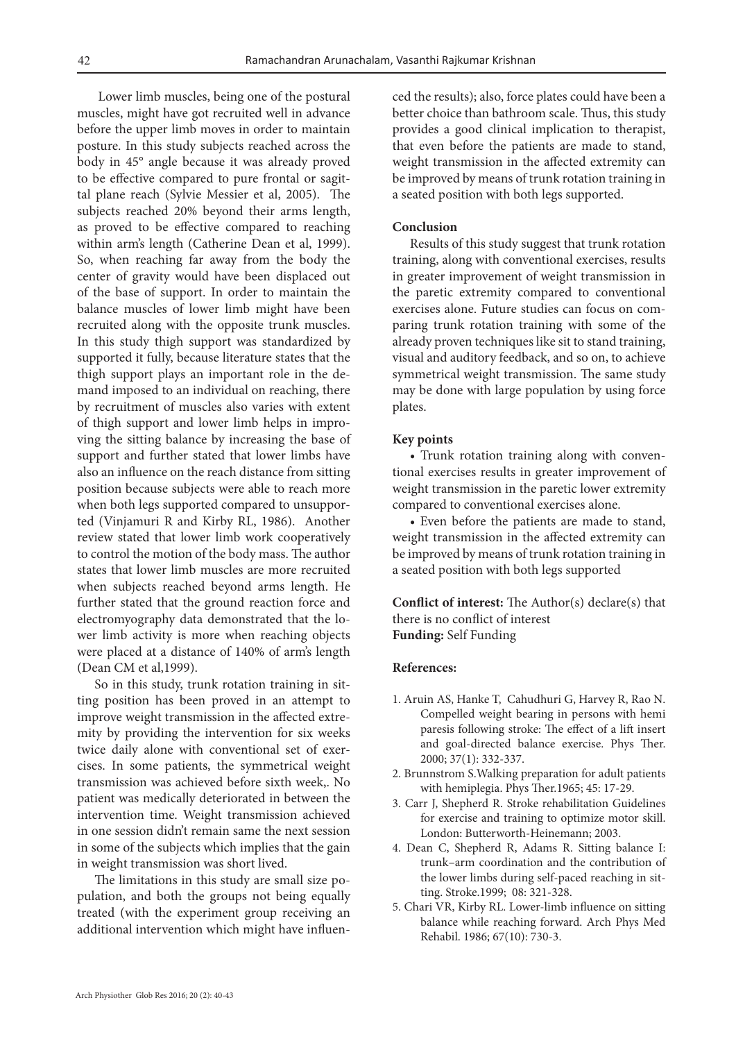Lower limb muscles, being one of the postural muscles, might have got recruited well in advance before the upper limb moves in order to maintain posture. In this study subjects reached across the body in 45° angle because it was already proved to be effective compared to pure frontal or sagittal plane reach (Sylvie Messier et al, 2005). The subjects reached 20% beyond their arms length, as proved to be effective compared to reaching within arm's length (Catherine Dean et al, 1999). So, when reaching far away from the body the center of gravity would have been displaced out of the base of support. In order to maintain the balance muscles of lower limb might have been recruited along with the opposite trunk muscles. In this study thigh support was standardized by supported it fully, because literature states that the thigh support plays an important role in the demand imposed to an individual on reaching, there by recruitment of muscles also varies with extent of thigh support and lower limb helps in improving the sitting balance by increasing the base of support and further stated that lower limbs have also an influence on the reach distance from sitting position because subjects were able to reach more when both legs supported compared to unsupported (Vinjamuri R and Kirby RL, 1986). Another review stated that lower limb work cooperatively to control the motion of the body mass. The author states that lower limb muscles are more recruited when subjects reached beyond arms length. He further stated that the ground reaction force and electromyography data demonstrated that the lower limb activity is more when reaching objects were placed at a distance of 140% of arm's length (Dean CM et al,1999).

So in this study, trunk rotation training in sitting position has been proved in an attempt to improve weight transmission in the affected extremity by providing the intervention for six weeks twice daily alone with conventional set of exercises. In some patients, the symmetrical weight transmission was achieved before sixth week,. No patient was medically deteriorated in between the intervention time. Weight transmission achieved in one session didn't remain same the next session in some of the subjects which implies that the gain in weight transmission was short lived.

The limitations in this study are small size population, and both the groups not being equally treated (with the experiment group receiving an additional intervention which might have influenced the results); also, force plates could have been a better choice than bathroom scale. Thus, this study provides a good clinical implication to therapist, that even before the patients are made to stand, weight transmission in the affected extremity can be improved by means of trunk rotation training in a seated position with both legs supported.

#### **Conclusion**

Results of this study suggest that trunk rotation training, along with conventional exercises, results in greater improvement of weight transmission in the paretic extremity compared to conventional exercises alone. Future studies can focus on comparing trunk rotation training with some of the already proven techniques like sit to stand training, visual and auditory feedback, and so on, to achieve symmetrical weight transmission. The same study may be done with large population by using force plates.

#### **Key points**

• Trunk rotation training along with conventional exercises results in greater improvement of weight transmission in the paretic lower extremity compared to conventional exercises alone.

• Even before the patients are made to stand, weight transmission in the affected extremity can be improved by means of trunk rotation training in a seated position with both legs supported

**Conflict of interest:** The Author(s) declare(s) that there is no conflict of interest **Funding:** Self Funding

#### **References:**

- 1. Aruin AS, Hanke T, Cahudhuri G, Harvey R, Rao N. Compelled weight bearing in persons with hemi paresis following stroke: The effect of a lift insert and goal-directed balance exercise. Phys Ther. 2000; 37(1): 332-337.
- 2. Brunnstrom S.Walking preparation for adult patients with hemiplegia. Phys Ther.1965; 45: 17-29.
- 3. Carr J, Shepherd R. Stroke rehabilitation Guidelines for exercise and training to optimize motor skill. London: Butterworth-Heinemann; 2003.
- 4. Dean C, Shepherd R, Adams R. Sitting balance I: trunk–arm coordination and the contribution of the lower limbs during self-paced reaching in sitting. Stroke.1999; 08: 321-328.
- 5. Chari VR, Kirby RL. Lower-limb influence on sitting balance while reaching forward. Arch Phys Med Rehabil. 1986; 67(10): 730-3.